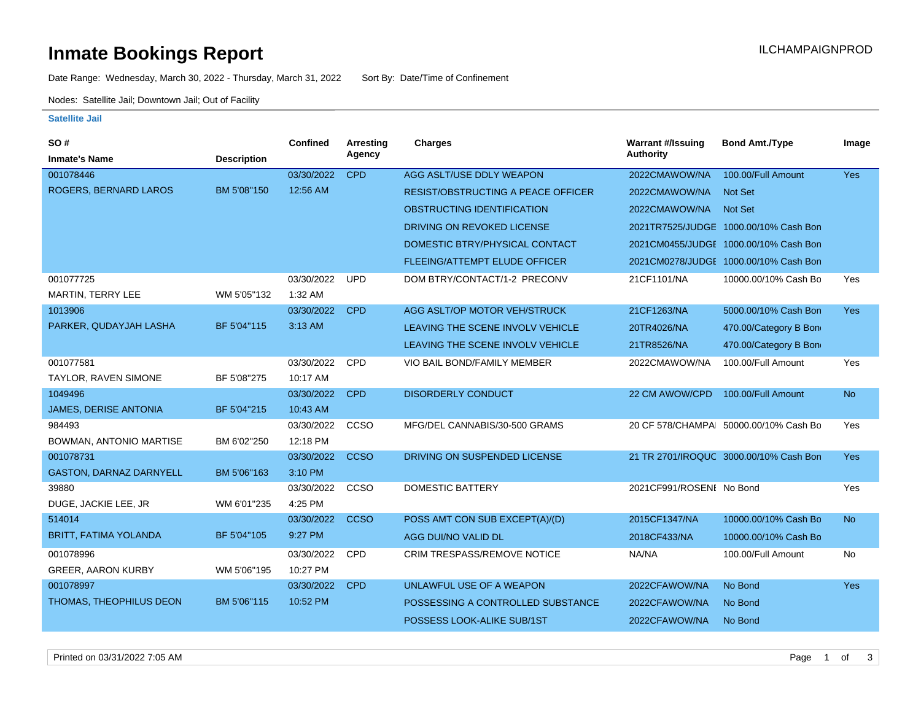### **Inmate Bookings Report International Contract Contract Contract Contract Contract Contract Contract Contract Contract Contract Contract Contract Contract Contract Contract Contract Contract Contract Contract Contract Co**

Date Range: Wednesday, March 30, 2022 - Thursday, March 31, 2022 Sort By: Date/Time of Confinement

Nodes: Satellite Jail; Downtown Jail; Out of Facility

#### **Satellite Jail**

| SO #                           |                    | <b>Confined</b> | <b>Arresting</b> | <b>Charges</b>                            | <b>Warrant #/Issuing</b> | <b>Bond Amt./Type</b>                  | Image      |
|--------------------------------|--------------------|-----------------|------------------|-------------------------------------------|--------------------------|----------------------------------------|------------|
| <b>Inmate's Name</b>           | <b>Description</b> |                 | Agency           |                                           | <b>Authority</b>         |                                        |            |
| 001078446                      |                    | 03/30/2022      | <b>CPD</b>       | AGG ASLT/USE DDLY WEAPON                  | 2022CMAWOW/NA            | 100.00/Full Amount                     | <b>Yes</b> |
| ROGERS, BERNARD LAROS          | BM 5'08"150        | 12:56 AM        |                  | <b>RESIST/OBSTRUCTING A PEACE OFFICER</b> | 2022CMAWOW/NA            | Not Set                                |            |
|                                |                    |                 |                  | OBSTRUCTING IDENTIFICATION                | 2022CMAWOW/NA            | Not Set                                |            |
|                                |                    |                 |                  | DRIVING ON REVOKED LICENSE                |                          | 2021TR7525/JUDGE 1000.00/10% Cash Bon  |            |
|                                |                    |                 |                  | DOMESTIC BTRY/PHYSICAL CONTACT            |                          | 2021CM0455/JUDGE 1000.00/10% Cash Bon  |            |
|                                |                    |                 |                  | <b>FLEEING/ATTEMPT ELUDE OFFICER</b>      |                          | 2021CM0278/JUDGE 1000.00/10% Cash Bon  |            |
| 001077725                      |                    | 03/30/2022      | <b>UPD</b>       | DOM BTRY/CONTACT/1-2 PRECONV              | 21CF1101/NA              | 10000.00/10% Cash Bo                   | <b>Yes</b> |
| MARTIN, TERRY LEE              | WM 5'05"132        | 1:32 AM         |                  |                                           |                          |                                        |            |
| 1013906                        |                    | 03/30/2022      | <b>CPD</b>       | AGG ASLT/OP MOTOR VEH/STRUCK              | 21CF1263/NA              | 5000.00/10% Cash Bon                   | <b>Yes</b> |
| PARKER, QUDAYJAH LASHA         | BF 5'04"115        | 3:13 AM         |                  | LEAVING THE SCENE INVOLV VEHICLE          | 20TR4026/NA              | 470.00/Category B Bon                  |            |
|                                |                    |                 |                  | LEAVING THE SCENE INVOLV VEHICLE          | 21TR8526/NA              | 470.00/Category B Bon                  |            |
| 001077581                      |                    | 03/30/2022      | <b>CPD</b>       | VIO BAIL BOND/FAMILY MEMBER               | 2022CMAWOW/NA            | 100.00/Full Amount                     | Yes        |
| TAYLOR, RAVEN SIMONE           | BF 5'08"275        | 10:17 AM        |                  |                                           |                          |                                        |            |
| 1049496                        |                    | 03/30/2022      | <b>CPD</b>       | <b>DISORDERLY CONDUCT</b>                 | 22 CM AWOW/CPD           | 100.00/Full Amount                     | <b>No</b>  |
| <b>JAMES, DERISE ANTONIA</b>   | BF 5'04"215        | 10:43 AM        |                  |                                           |                          |                                        |            |
| 984493                         |                    | 03/30/2022      | CCSO             | MFG/DEL CANNABIS/30-500 GRAMS             |                          | 20 CF 578/CHAMPAL 50000.00/10% Cash Bo | Yes        |
| BOWMAN, ANTONIO MARTISE        | BM 6'02"250        | 12:18 PM        |                  |                                           |                          |                                        |            |
| 001078731                      |                    | 03/30/2022      | <b>CCSO</b>      | DRIVING ON SUSPENDED LICENSE              |                          | 21 TR 2701/IROQUC 3000.00/10% Cash Bon | <b>Yes</b> |
| <b>GASTON, DARNAZ DARNYELL</b> | BM 5'06"163        | 3:10 PM         |                  |                                           |                          |                                        |            |
| 39880                          |                    | 03/30/2022      | CCSO             | <b>DOMESTIC BATTERY</b>                   | 2021CF991/ROSENI No Bond |                                        | Yes        |
| DUGE, JACKIE LEE, JR           | WM 6'01"235        | 4:25 PM         |                  |                                           |                          |                                        |            |
| 514014                         |                    | 03/30/2022      | <b>CCSO</b>      | POSS AMT CON SUB EXCEPT(A)/(D)            | 2015CF1347/NA            | 10000.00/10% Cash Bo                   | <b>No</b>  |
| <b>BRITT, FATIMA YOLANDA</b>   | BF 5'04"105        | 9:27 PM         |                  | AGG DUI/NO VALID DL                       | 2018CF433/NA             | 10000.00/10% Cash Bo                   |            |
| 001078996                      |                    | 03/30/2022      | <b>CPD</b>       | CRIM TRESPASS/REMOVE NOTICE               | NA/NA                    | 100.00/Full Amount                     | No         |
| <b>GREER, AARON KURBY</b>      | WM 5'06"195        | 10:27 PM        |                  |                                           |                          |                                        |            |
| 001078997                      |                    | 03/30/2022      | <b>CPD</b>       | UNLAWFUL USE OF A WEAPON                  | 2022CFAWOW/NA            | No Bond                                | <b>Yes</b> |
| THOMAS, THEOPHILUS DEON        | BM 5'06"115        | 10:52 PM        |                  | POSSESSING A CONTROLLED SUBSTANCE         | 2022CFAWOW/NA            | No Bond                                |            |
|                                |                    |                 |                  | POSSESS LOOK-ALIKE SUB/1ST                | 2022CFAWOW/NA            | No Bond                                |            |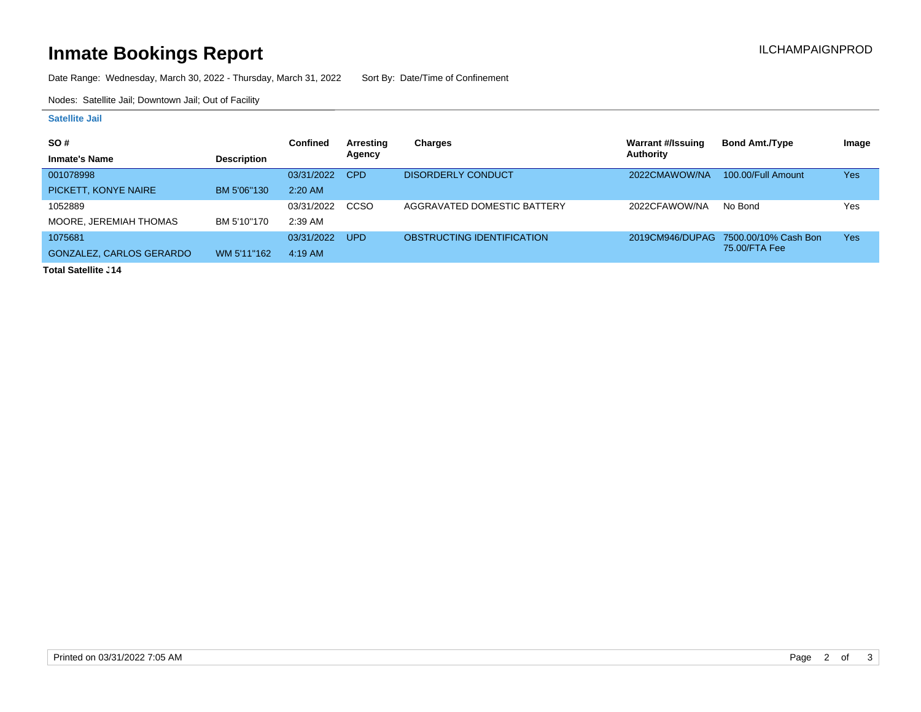# **Inmate Bookings Report Installation Control Control Control Control Control Control Control Control Control Control Control Control Control Control Control Control Control Control Control Control Control Control Control**

Date Range: Wednesday, March 30, 2022 - Thursday, March 31, 2022 Sort By: Date/Time of Confinement

Nodes: Satellite Jail; Downtown Jail; Out of Facility

#### **Satellite Jail**

| SO#                      |                    | Confined   | Arresting  | Charges                     | Warrant #/Issuing | <b>Bond Amt./Type</b>                | Image |
|--------------------------|--------------------|------------|------------|-----------------------------|-------------------|--------------------------------------|-------|
| <b>Inmate's Name</b>     | <b>Description</b> |            | Agency     |                             | Authority         |                                      |       |
| 001078998                |                    | 03/31/2022 | <b>CPD</b> | <b>DISORDERLY CONDUCT</b>   | 2022CMAWOW/NA     | 100.00/Full Amount                   | Yes   |
| PICKETT, KONYE NAIRE     | BM 5'06"130        | $2:20$ AM  |            |                             |                   |                                      |       |
| 1052889                  |                    | 03/31/2022 | CCSO       | AGGRAVATED DOMESTIC BATTERY | 2022CFAWOW/NA     | No Bond                              | Yes   |
| MOORE, JEREMIAH THOMAS   | BM 5'10"170        | 2:39 AM    |            |                             |                   |                                      |       |
| 1075681                  |                    | 03/31/2022 | <b>UPD</b> | OBSTRUCTING IDENTIFICATION  |                   | 2019CM946/DUPAG 7500.00/10% Cash Bon | Yes   |
| GONZALEZ, CARLOS GERARDO | WM 5'11"162        | $4:19$ AM  |            |                             |                   | 75.00/FTA Fee                        |       |

**Total Satellite J14**